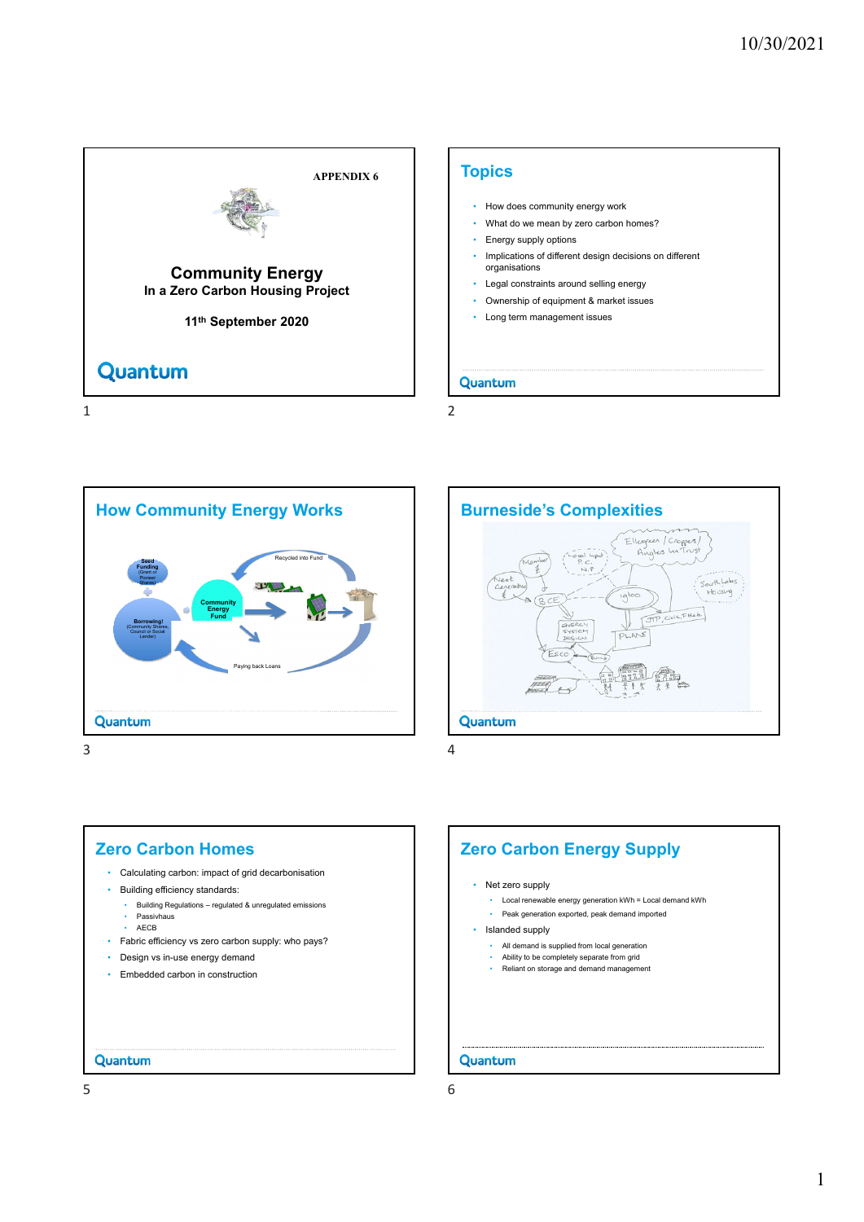



 $3 \overline{4}$ 





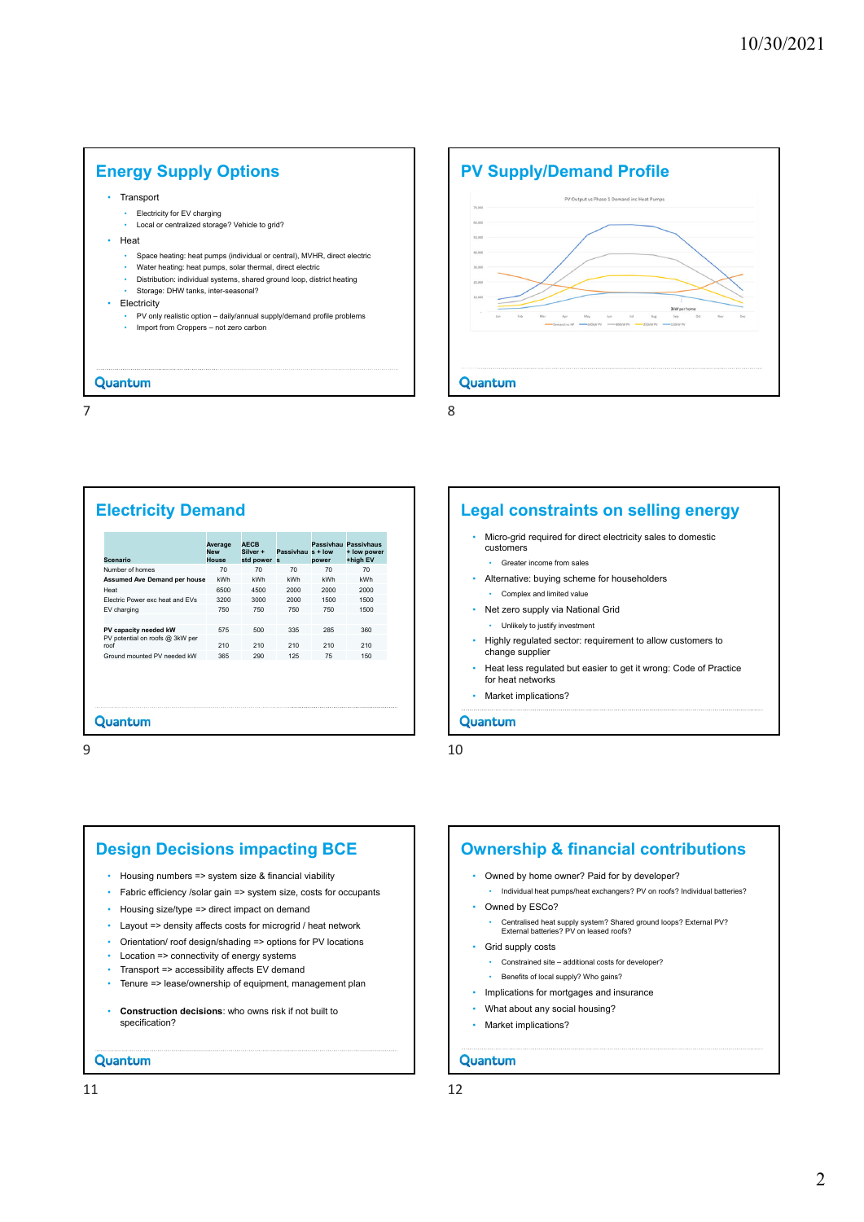## **Energy Supply Options**

- Transport
	- Electricity for EV charging
	- Local or centralized storage? Vehicle to grid?
- Heat
	- Space heating: heat pumps (individual or central), MVHR, direct electric
	- Water heating: heat pumps, solar thermal, direct electric • Distribution: individual systems, shared ground loop, district heating
	- Storage: DHW tanks, inter-seasonal?
- Electricity
	- PV only realistic option daily/annual supply/demand profile problems • Import from Croppers – not zero carbon

#### Quantum

7 8

# **PV Supply/Demand Profile PV Output vs Phase 1 Demand ins Heat Pums**  $\sim$ Quantum

### **Electricity Demand**

| <b>Scenario</b>                         | Average<br><b>New</b><br>House | <b>AECB</b><br>Silver +<br>std power s | Passivhau s + low | power | Passivhau Passivhaus<br>+ low power<br>+high EV |
|-----------------------------------------|--------------------------------|----------------------------------------|-------------------|-------|-------------------------------------------------|
| Number of homes                         | 70                             | 70                                     | 70                | 70    | 70                                              |
| <b>Assumed Ave Demand per house</b>     | kWh                            | kWh                                    | kWh               | kWh   | kWh                                             |
| Heat                                    | 6500                           | 4500                                   | 2000              | 2000  | 2000                                            |
| Flectric Power exc heat and FVs         | 3200                           | 3000                                   | 2000              | 1500  | 1500                                            |
| EV charging                             | 750                            | 750                                    | 750               | 750   | 1500                                            |
|                                         |                                |                                        |                   |       |                                                 |
| PV capacity needed kW                   | 575                            | 500                                    | 335               | 285   | 360                                             |
| PV potential on roofs @ 3kW per<br>roof | 210                            | 210                                    | 210               | 210   | 210                                             |
| Ground mounted PV needed kW             | 365                            | 290                                    | 125               | 75    | 150                                             |
|                                         |                                |                                        |                   |       |                                                 |
| Quantum                                 |                                |                                        |                   |       |                                                 |

#### **Legal constraints on selling energy**

- Micro-grid required for direct electricity sales to domestic customers
	- Greater income from sales
- Alternative: buying scheme for householders
- Complex and limited value
- Net zero supply via National Grid
- Unlikely to justify investment
- Highly regulated sector: requirement to allow customers to change supplier
- Heat less regulated but easier to get it wrong: Code of Practice for heat networks
- Market implications?

#### Quantum

 $9$  10

# **Design Decisions impacting BCE**

- Housing numbers => system size & financial viability
- Fabric efficiency /solar gain => system size, costs for occupants
- Housing size/type => direct impact on demand
- Layout => density affects costs for microgrid / heat network
- Orientation/ roof design/shading => options for PV locations
- Location => connectivity of energy systems
- Transport => accessibility affects EV demand
- Tenure => lease/ownership of equipment, management plan
- **Construction decisions**: who owns risk if not built to specification?

#### Quantum

# **Ownership & financial contributions**

- Owned by home owner? Paid for by developer? • Individual heat pumps/heat exchangers? PV on roofs? Individual batteries?
- Owned by ESCo?
	- Centralised heat supply system? Shared ground loops? External PV? External batteries? PV on leased roofs?
- Grid supply costs
	- Constrained site additional costs for developer?
	- Benefits of local supply? Who gains?
- Implications for mortgages and insurance
- What about any social housing?
- Market implications?
- Quantum